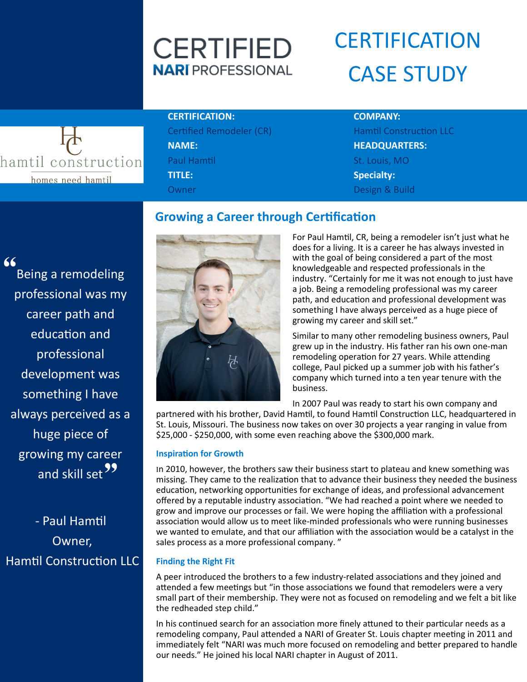# **CERTIFIED NARI** PROFESSIONAL

# **CERTIFICATION** CASE STUDY



# **CERTIFICATION: COMPANY:**

Certified Remodeler (CR) Hamtil Construction LLC **NAME: HEADQUARTERS:** Paul Hamtil North Communist Communist Communist Communist Communist Communist Communist Communist Communist Co **TITLE: Specialty:** Owner Design & Build

# **Growing a Career through Certification**

" wing my career<br>and skill set 22 Being a remodeling professional was my career path and education and professional development was something I have always perceived as a huge piece of growing my career

- Paul Hamtil Owner, Hamtil Construction LLC



For Paul Hamtil, CR, being a remodeler isn't just what he does for a living. It is a career he has always invested in with the goal of being considered a part of the most knowledgeable and respected professionals in the industry. "Certainly for me it was not enough to just have a job. Being a remodeling professional was my career path, and education and professional development was something I have always perceived as a huge piece of growing my career and skill set."

Similar to many other remodeling business owners, Paul grew up in the industry. His father ran his own one-man remodeling operation for 27 years. While attending college, Paul picked up a summer job with his father's company which turned into a ten year tenure with the business.

In 2007 Paul was ready to start his own company and

partnered with his brother, David Hamtil, to found Hamtil Construction LLC, headquartered in St. Louis, Missouri. The business now takes on over 30 projects a year ranging in value from \$25,000 - \$250,000, with some even reaching above the \$300,000 mark.

### **Inspiration for Growth**

In 2010, however, the brothers saw their business start to plateau and knew something was missing. They came to the realization that to advance their business they needed the business education, networking opportunities for exchange of ideas, and professional advancement offered by a reputable industry association. "We had reached a point where we needed to grow and improve our processes or fail. We were hoping the affiliation with a professional association would allow us to meet like-minded professionals who were running businesses we wanted to emulate, and that our affiliation with the association would be a catalyst in the sales process as a more professional company. "

### **Finding the Right Fit**

A peer introduced the brothers to a few industry-related associations and they joined and attended a few meetings but "in those associations we found that remodelers were a very small part of their membership. They were not as focused on remodeling and we felt a bit like the redheaded step child."

In his continued search for an association more finely attuned to their particular needs as a remodeling company, Paul attended a NARI of Greater St. Louis chapter meeting in 2011 and immediately felt "NARI was much more focused on remodeling and better prepared to handle our needs." He joined his local NARI chapter in August of 2011.